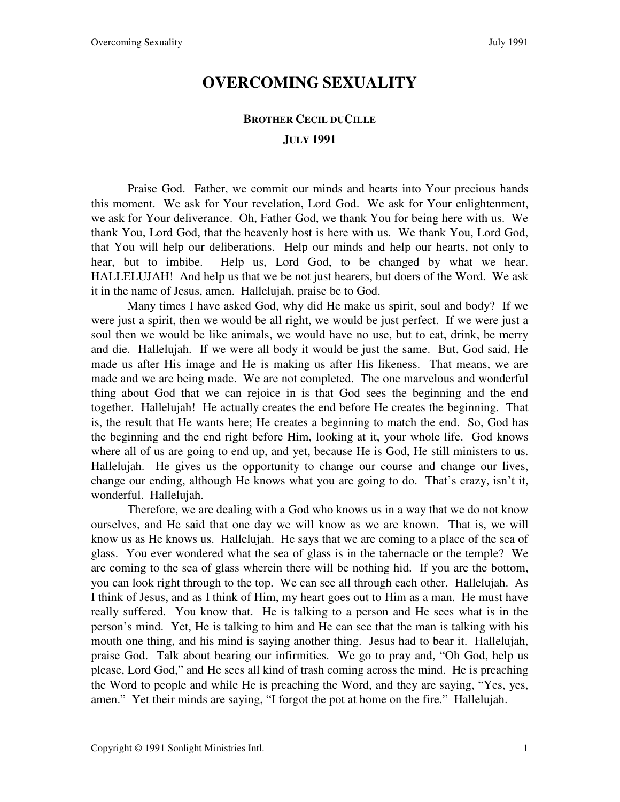## **OVERCOMING SEXUALITY**

## **BROTHER CECIL DUCILLE**

## **JULY 1991**

 Praise God. Father, we commit our minds and hearts into Your precious hands this moment. We ask for Your revelation, Lord God. We ask for Your enlightenment, we ask for Your deliverance. Oh, Father God, we thank You for being here with us. We thank You, Lord God, that the heavenly host is here with us. We thank You, Lord God, that You will help our deliberations. Help our minds and help our hearts, not only to hear, but to imbibe. Help us, Lord God, to be changed by what we hear. HALLELUJAH! And help us that we be not just hearers, but doers of the Word. We ask it in the name of Jesus, amen. Hallelujah, praise be to God.

 Many times I have asked God, why did He make us spirit, soul and body? If we were just a spirit, then we would be all right, we would be just perfect. If we were just a soul then we would be like animals, we would have no use, but to eat, drink, be merry and die. Hallelujah. If we were all body it would be just the same. But, God said, He made us after His image and He is making us after His likeness. That means, we are made and we are being made. We are not completed. The one marvelous and wonderful thing about God that we can rejoice in is that God sees the beginning and the end together. Hallelujah! He actually creates the end before He creates the beginning. That is, the result that He wants here; He creates a beginning to match the end. So, God has the beginning and the end right before Him, looking at it, your whole life. God knows where all of us are going to end up, and yet, because He is God, He still ministers to us. Hallelujah. He gives us the opportunity to change our course and change our lives, change our ending, although He knows what you are going to do. That's crazy, isn't it, wonderful. Hallelujah.

 Therefore, we are dealing with a God who knows us in a way that we do not know ourselves, and He said that one day we will know as we are known. That is, we will know us as He knows us. Hallelujah. He says that we are coming to a place of the sea of glass. You ever wondered what the sea of glass is in the tabernacle or the temple? We are coming to the sea of glass wherein there will be nothing hid. If you are the bottom, you can look right through to the top. We can see all through each other. Hallelujah. As I think of Jesus, and as I think of Him, my heart goes out to Him as a man. He must have really suffered. You know that. He is talking to a person and He sees what is in the person's mind. Yet, He is talking to him and He can see that the man is talking with his mouth one thing, and his mind is saying another thing. Jesus had to bear it. Hallelujah, praise God. Talk about bearing our infirmities. We go to pray and, "Oh God, help us please, Lord God," and He sees all kind of trash coming across the mind. He is preaching the Word to people and while He is preaching the Word, and they are saying, "Yes, yes, amen." Yet their minds are saying, "I forgot the pot at home on the fire." Hallelujah.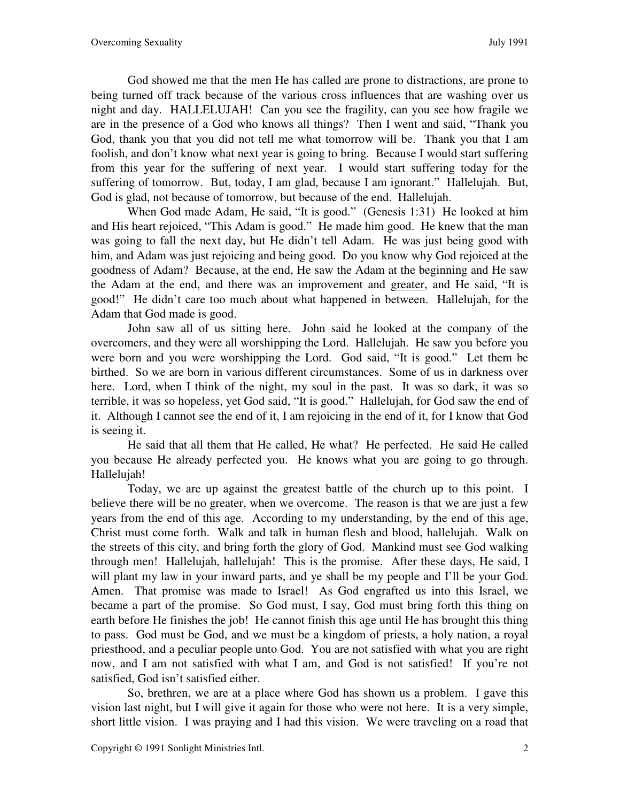God showed me that the men He has called are prone to distractions, are prone to being turned off track because of the various cross influences that are washing over us night and day. HALLELUJAH! Can you see the fragility, can you see how fragile we are in the presence of a God who knows all things? Then I went and said, "Thank you God, thank you that you did not tell me what tomorrow will be. Thank you that I am foolish, and don't know what next year is going to bring. Because I would start suffering from this year for the suffering of next year. I would start suffering today for the suffering of tomorrow. But, today, I am glad, because I am ignorant." Hallelujah. But, God is glad, not because of tomorrow, but because of the end. Hallelujah.

 When God made Adam, He said, "It is good." (Genesis 1:31) He looked at him and His heart rejoiced, "This Adam is good." He made him good. He knew that the man was going to fall the next day, but He didn't tell Adam. He was just being good with him, and Adam was just rejoicing and being good. Do you know why God rejoiced at the goodness of Adam? Because, at the end, He saw the Adam at the beginning and He saw the Adam at the end, and there was an improvement and greater, and He said, "It is good!" He didn't care too much about what happened in between. Hallelujah, for the Adam that God made is good.

 John saw all of us sitting here. John said he looked at the company of the overcomers, and they were all worshipping the Lord. Hallelujah. He saw you before you were born and you were worshipping the Lord. God said, "It is good." Let them be birthed. So we are born in various different circumstances. Some of us in darkness over here. Lord, when I think of the night, my soul in the past. It was so dark, it was so terrible, it was so hopeless, yet God said, "It is good." Hallelujah, for God saw the end of it. Although I cannot see the end of it, I am rejoicing in the end of it, for I know that God is seeing it.

 He said that all them that He called, He what? He perfected. He said He called you because He already perfected you. He knows what you are going to go through. Hallelujah!

 Today, we are up against the greatest battle of the church up to this point. I believe there will be no greater, when we overcome. The reason is that we are just a few years from the end of this age. According to my understanding, by the end of this age, Christ must come forth. Walk and talk in human flesh and blood, hallelujah. Walk on the streets of this city, and bring forth the glory of God. Mankind must see God walking through men! Hallelujah, hallelujah! This is the promise. After these days, He said, I will plant my law in your inward parts, and ye shall be my people and I'll be your God. Amen. That promise was made to Israel! As God engrafted us into this Israel, we became a part of the promise. So God must, I say, God must bring forth this thing on earth before He finishes the job! He cannot finish this age until He has brought this thing to pass. God must be God, and we must be a kingdom of priests, a holy nation, a royal priesthood, and a peculiar people unto God. You are not satisfied with what you are right now, and I am not satisfied with what I am, and God is not satisfied! If you're not satisfied, God isn't satisfied either.

 So, brethren, we are at a place where God has shown us a problem. I gave this vision last night, but I will give it again for those who were not here. It is a very simple, short little vision. I was praying and I had this vision. We were traveling on a road that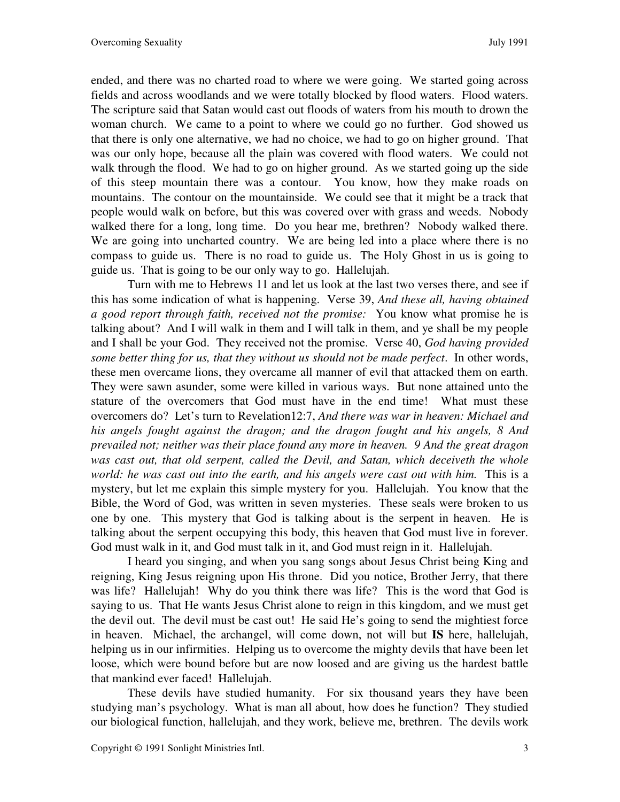ended, and there was no charted road to where we were going. We started going across fields and across woodlands and we were totally blocked by flood waters. Flood waters. The scripture said that Satan would cast out floods of waters from his mouth to drown the woman church. We came to a point to where we could go no further. God showed us that there is only one alternative, we had no choice, we had to go on higher ground. That was our only hope, because all the plain was covered with flood waters. We could not walk through the flood. We had to go on higher ground. As we started going up the side of this steep mountain there was a contour. You know, how they make roads on mountains. The contour on the mountainside. We could see that it might be a track that people would walk on before, but this was covered over with grass and weeds. Nobody walked there for a long, long time. Do you hear me, brethren? Nobody walked there. We are going into uncharted country. We are being led into a place where there is no compass to guide us. There is no road to guide us. The Holy Ghost in us is going to guide us. That is going to be our only way to go. Hallelujah.

 Turn with me to Hebrews 11 and let us look at the last two verses there, and see if this has some indication of what is happening. Verse 39, *And these all, having obtained a good report through faith, received not the promise:* You know what promise he is talking about? And I will walk in them and I will talk in them, and ye shall be my people and I shall be your God. They received not the promise. Verse 40, *God having provided some better thing for us, that they without us should not be made perfect*. In other words, these men overcame lions, they overcame all manner of evil that attacked them on earth. They were sawn asunder, some were killed in various ways. But none attained unto the stature of the overcomers that God must have in the end time! What must these overcomers do? Let's turn to Revelation12:7, *And there was war in heaven: Michael and his angels fought against the dragon; and the dragon fought and his angels, 8 And prevailed not; neither was their place found any more in heaven. 9 And the great dragon was cast out, that old serpent, called the Devil, and Satan, which deceiveth the whole world: he was cast out into the earth, and his angels were cast out with him.* This is a mystery, but let me explain this simple mystery for you. Hallelujah. You know that the Bible, the Word of God, was written in seven mysteries. These seals were broken to us one by one. This mystery that God is talking about is the serpent in heaven. He is talking about the serpent occupying this body, this heaven that God must live in forever. God must walk in it, and God must talk in it, and God must reign in it. Hallelujah.

 I heard you singing, and when you sang songs about Jesus Christ being King and reigning, King Jesus reigning upon His throne. Did you notice, Brother Jerry, that there was life? Hallelujah! Why do you think there was life? This is the word that God is saying to us. That He wants Jesus Christ alone to reign in this kingdom, and we must get the devil out. The devil must be cast out! He said He's going to send the mightiest force in heaven. Michael, the archangel, will come down, not will but **IS** here, hallelujah, helping us in our infirmities. Helping us to overcome the mighty devils that have been let loose, which were bound before but are now loosed and are giving us the hardest battle that mankind ever faced! Hallelujah.

 These devils have studied humanity. For six thousand years they have been studying man's psychology. What is man all about, how does he function? They studied our biological function, hallelujah, and they work, believe me, brethren. The devils work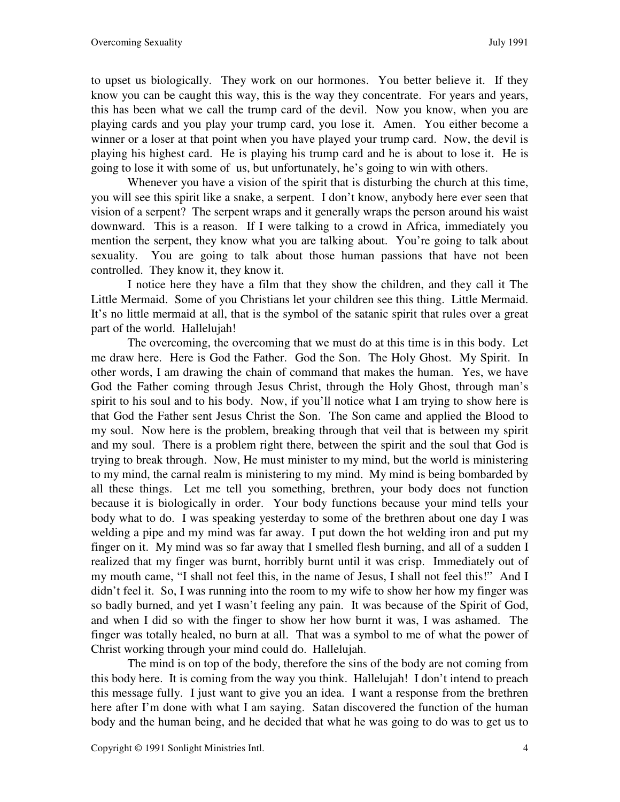to upset us biologically. They work on our hormones. You better believe it. If they know you can be caught this way, this is the way they concentrate. For years and years, this has been what we call the trump card of the devil. Now you know, when you are playing cards and you play your trump card, you lose it. Amen. You either become a winner or a loser at that point when you have played your trump card. Now, the devil is playing his highest card. He is playing his trump card and he is about to lose it. He is going to lose it with some of us, but unfortunately, he's going to win with others.

 Whenever you have a vision of the spirit that is disturbing the church at this time, you will see this spirit like a snake, a serpent. I don't know, anybody here ever seen that vision of a serpent? The serpent wraps and it generally wraps the person around his waist downward. This is a reason. If I were talking to a crowd in Africa, immediately you mention the serpent, they know what you are talking about. You're going to talk about sexuality. You are going to talk about those human passions that have not been controlled. They know it, they know it.

 I notice here they have a film that they show the children, and they call it The Little Mermaid. Some of you Christians let your children see this thing. Little Mermaid. It's no little mermaid at all, that is the symbol of the satanic spirit that rules over a great part of the world. Hallelujah!

 The overcoming, the overcoming that we must do at this time is in this body. Let me draw here. Here is God the Father. God the Son. The Holy Ghost. My Spirit. In other words, I am drawing the chain of command that makes the human. Yes, we have God the Father coming through Jesus Christ, through the Holy Ghost, through man's spirit to his soul and to his body. Now, if you'll notice what I am trying to show here is that God the Father sent Jesus Christ the Son. The Son came and applied the Blood to my soul. Now here is the problem, breaking through that veil that is between my spirit and my soul. There is a problem right there, between the spirit and the soul that God is trying to break through. Now, He must minister to my mind, but the world is ministering to my mind, the carnal realm is ministering to my mind. My mind is being bombarded by all these things. Let me tell you something, brethren, your body does not function because it is biologically in order. Your body functions because your mind tells your body what to do. I was speaking yesterday to some of the brethren about one day I was welding a pipe and my mind was far away. I put down the hot welding iron and put my finger on it. My mind was so far away that I smelled flesh burning, and all of a sudden I realized that my finger was burnt, horribly burnt until it was crisp. Immediately out of my mouth came, "I shall not feel this, in the name of Jesus, I shall not feel this!" And I didn't feel it. So, I was running into the room to my wife to show her how my finger was so badly burned, and yet I wasn't feeling any pain. It was because of the Spirit of God, and when I did so with the finger to show her how burnt it was, I was ashamed. The finger was totally healed, no burn at all. That was a symbol to me of what the power of Christ working through your mind could do. Hallelujah.

 The mind is on top of the body, therefore the sins of the body are not coming from this body here. It is coming from the way you think. Hallelujah! I don't intend to preach this message fully. I just want to give you an idea. I want a response from the brethren here after I'm done with what I am saying. Satan discovered the function of the human body and the human being, and he decided that what he was going to do was to get us to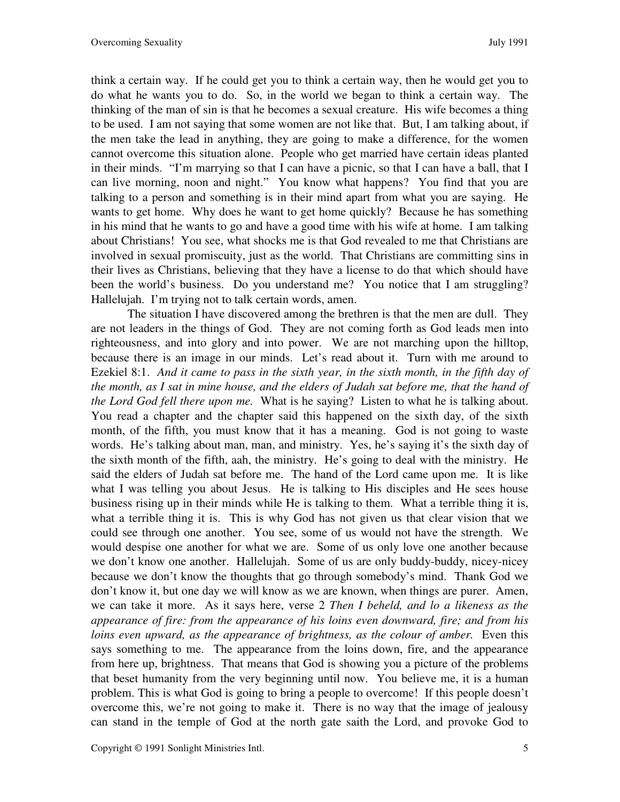think a certain way. If he could get you to think a certain way, then he would get you to do what he wants you to do. So, in the world we began to think a certain way. The thinking of the man of sin is that he becomes a sexual creature. His wife becomes a thing to be used. I am not saying that some women are not like that. But, I am talking about, if the men take the lead in anything, they are going to make a difference, for the women cannot overcome this situation alone. People who get married have certain ideas planted in their minds. "I'm marrying so that I can have a picnic, so that I can have a ball, that I can live morning, noon and night." You know what happens? You find that you are talking to a person and something is in their mind apart from what you are saying. He wants to get home. Why does he want to get home quickly? Because he has something in his mind that he wants to go and have a good time with his wife at home. I am talking about Christians! You see, what shocks me is that God revealed to me that Christians are involved in sexual promiscuity, just as the world. That Christians are committing sins in their lives as Christians, believing that they have a license to do that which should have been the world's business. Do you understand me? You notice that I am struggling? Hallelujah. I'm trying not to talk certain words, amen.

 The situation I have discovered among the brethren is that the men are dull. They are not leaders in the things of God. They are not coming forth as God leads men into righteousness, and into glory and into power. We are not marching upon the hilltop, because there is an image in our minds. Let's read about it. Turn with me around to Ezekiel 8:1. *And it came to pass in the sixth year, in the sixth month, in the fifth day of the month, as I sat in mine house, and the elders of Judah sat before me, that the hand of the Lord God fell there upon me.* What is he saying? Listen to what he is talking about. You read a chapter and the chapter said this happened on the sixth day, of the sixth month, of the fifth, you must know that it has a meaning. God is not going to waste words. He's talking about man, man, and ministry. Yes, he's saying it's the sixth day of the sixth month of the fifth, aah, the ministry. He's going to deal with the ministry. He said the elders of Judah sat before me. The hand of the Lord came upon me. It is like what I was telling you about Jesus. He is talking to His disciples and He sees house business rising up in their minds while He is talking to them. What a terrible thing it is, what a terrible thing it is. This is why God has not given us that clear vision that we could see through one another. You see, some of us would not have the strength. We would despise one another for what we are. Some of us only love one another because we don't know one another. Hallelujah. Some of us are only buddy-buddy, nicey-nicey because we don't know the thoughts that go through somebody's mind. Thank God we don't know it, but one day we will know as we are known, when things are purer. Amen, we can take it more. As it says here, verse 2 *Then I beheld, and lo a likeness as the appearance of fire: from the appearance of his loins even downward, fire; and from his loins even upward, as the appearance of brightness, as the colour of amber.* Even this says something to me. The appearance from the loins down, fire, and the appearance from here up, brightness. That means that God is showing you a picture of the problems that beset humanity from the very beginning until now. You believe me, it is a human problem. This is what God is going to bring a people to overcome! If this people doesn't overcome this, we're not going to make it. There is no way that the image of jealousy can stand in the temple of God at the north gate saith the Lord, and provoke God to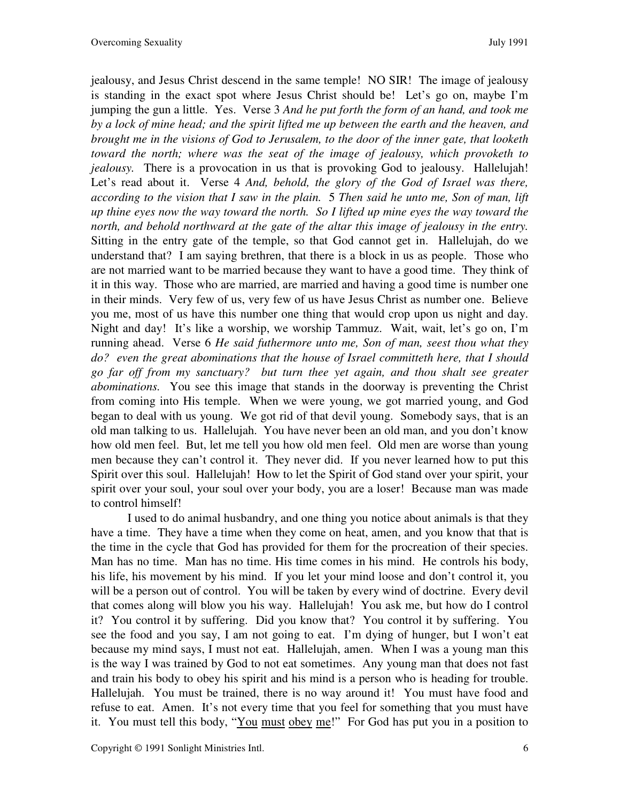jealousy, and Jesus Christ descend in the same temple! NO SIR! The image of jealousy is standing in the exact spot where Jesus Christ should be! Let's go on, maybe I'm jumping the gun a little. Yes. Verse 3 *And he put forth the form of an hand, and took me by a lock of mine head; and the spirit lifted me up between the earth and the heaven, and brought me in the visions of God to Jerusalem, to the door of the inner gate, that looketh toward the north; where was the seat of the image of jealousy, which provoketh to jealousy*. There is a provocation in us that is provoking God to jealousy. Hallelujah! Let's read about it. Verse 4 *And, behold, the glory of the God of Israel was there, according to the vision that I saw in the plain.* 5 *Then said he unto me, Son of man, lift up thine eyes now the way toward the north. So I lifted up mine eyes the way toward the north, and behold northward at the gate of the altar this image of jealousy in the entry.* Sitting in the entry gate of the temple, so that God cannot get in. Hallelujah, do we understand that? I am saying brethren, that there is a block in us as people. Those who are not married want to be married because they want to have a good time. They think of it in this way. Those who are married, are married and having a good time is number one in their minds. Very few of us, very few of us have Jesus Christ as number one. Believe you me, most of us have this number one thing that would crop upon us night and day. Night and day! It's like a worship, we worship Tammuz. Wait, wait, let's go on, I'm running ahead. Verse 6 *He said futhermore unto me, Son of man, seest thou what they do? even the great abominations that the house of Israel committeth here, that I should go far off from my sanctuary? but turn thee yet again, and thou shalt see greater abominations.* You see this image that stands in the doorway is preventing the Christ from coming into His temple. When we were young, we got married young, and God began to deal with us young. We got rid of that devil young. Somebody says, that is an old man talking to us. Hallelujah. You have never been an old man, and you don't know how old men feel. But, let me tell you how old men feel. Old men are worse than young men because they can't control it. They never did. If you never learned how to put this Spirit over this soul. Hallelujah! How to let the Spirit of God stand over your spirit, your spirit over your soul, your soul over your body, you are a loser! Because man was made to control himself!

 I used to do animal husbandry, and one thing you notice about animals is that they have a time. They have a time when they come on heat, amen, and you know that that is the time in the cycle that God has provided for them for the procreation of their species. Man has no time. Man has no time. His time comes in his mind. He controls his body, his life, his movement by his mind. If you let your mind loose and don't control it, you will be a person out of control. You will be taken by every wind of doctrine. Every devil that comes along will blow you his way. Hallelujah! You ask me, but how do I control it? You control it by suffering. Did you know that? You control it by suffering. You see the food and you say, I am not going to eat. I'm dying of hunger, but I won't eat because my mind says, I must not eat. Hallelujah, amen. When I was a young man this is the way I was trained by God to not eat sometimes. Any young man that does not fast and train his body to obey his spirit and his mind is a person who is heading for trouble. Hallelujah. You must be trained, there is no way around it! You must have food and refuse to eat. Amen. It's not every time that you feel for something that you must have it. You must tell this body, "You must obey me!" For God has put you in a position to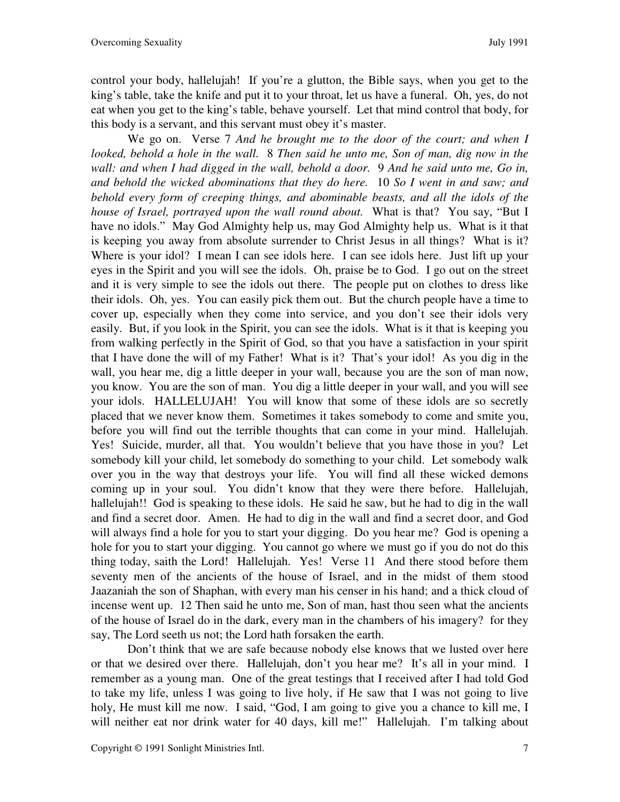control your body, hallelujah! If you're a glutton, the Bible says, when you get to the king's table, take the knife and put it to your throat, let us have a funeral. Oh, yes, do not eat when you get to the king's table, behave yourself. Let that mind control that body, for this body is a servant, and this servant must obey it's master.

 We go on. Verse 7 *And he brought me to the door of the court; and when I looked, behold a hole in the wall.* 8 *Then said he unto me, Son of man, dig now in the wall: and when I had digged in the wall, behold a door.* 9 *And he said unto me, Go in, and behold the wicked abominations that they do here.* 10 *So I went in and saw; and behold every form of creeping things, and abominable beasts, and all the idols of the house of Israel, portrayed upon the wall round about.* What is that? You say, "But I have no idols." May God Almighty help us, may God Almighty help us. What is it that is keeping you away from absolute surrender to Christ Jesus in all things? What is it? Where is your idol? I mean I can see idols here. I can see idols here. Just lift up your eyes in the Spirit and you will see the idols. Oh, praise be to God. I go out on the street and it is very simple to see the idols out there. The people put on clothes to dress like their idols. Oh, yes. You can easily pick them out. But the church people have a time to cover up, especially when they come into service, and you don't see their idols very easily. But, if you look in the Spirit, you can see the idols. What is it that is keeping you from walking perfectly in the Spirit of God, so that you have a satisfaction in your spirit that I have done the will of my Father! What is it? That's your idol! As you dig in the wall, you hear me, dig a little deeper in your wall, because you are the son of man now, you know. You are the son of man. You dig a little deeper in your wall, and you will see your idols. HALLELUJAH! You will know that some of these idols are so secretly placed that we never know them. Sometimes it takes somebody to come and smite you, before you will find out the terrible thoughts that can come in your mind. Hallelujah. Yes! Suicide, murder, all that. You wouldn't believe that you have those in you? Let somebody kill your child, let somebody do something to your child. Let somebody walk over you in the way that destroys your life. You will find all these wicked demons coming up in your soul. You didn't know that they were there before. Hallelujah, hallelujah!! God is speaking to these idols. He said he saw, but he had to dig in the wall and find a secret door. Amen. He had to dig in the wall and find a secret door, and God will always find a hole for you to start your digging. Do you hear me? God is opening a hole for you to start your digging. You cannot go where we must go if you do not do this thing today, saith the Lord! Hallelujah. Yes! Verse 11 And there stood before them seventy men of the ancients of the house of Israel, and in the midst of them stood Jaazaniah the son of Shaphan, with every man his censer in his hand; and a thick cloud of incense went up. 12 Then said he unto me, Son of man, hast thou seen what the ancients of the house of Israel do in the dark, every man in the chambers of his imagery? for they say, The Lord seeth us not; the Lord hath forsaken the earth.

 Don't think that we are safe because nobody else knows that we lusted over here or that we desired over there. Hallelujah, don't you hear me? It's all in your mind. I remember as a young man. One of the great testings that I received after I had told God to take my life, unless I was going to live holy, if He saw that I was not going to live holy, He must kill me now. I said, "God, I am going to give you a chance to kill me, I will neither eat nor drink water for 40 days, kill me!" Hallelujah. I'm talking about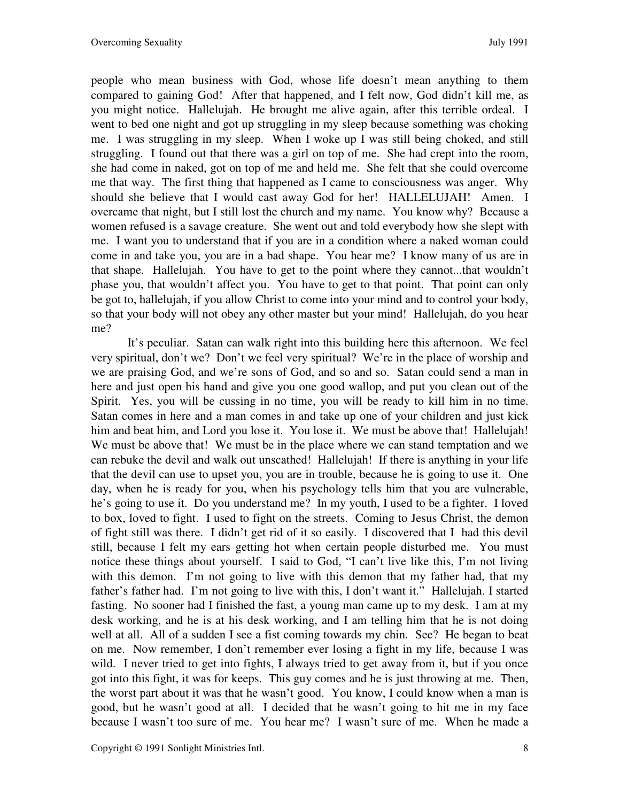people who mean business with God, whose life doesn't mean anything to them compared to gaining God! After that happened, and I felt now, God didn't kill me, as you might notice. Hallelujah. He brought me alive again, after this terrible ordeal. I went to bed one night and got up struggling in my sleep because something was choking me. I was struggling in my sleep. When I woke up I was still being choked, and still struggling. I found out that there was a girl on top of me. She had crept into the room, she had come in naked, got on top of me and held me. She felt that she could overcome me that way. The first thing that happened as I came to consciousness was anger. Why should she believe that I would cast away God for her! HALLELUJAH! Amen. I overcame that night, but I still lost the church and my name. You know why? Because a women refused is a savage creature. She went out and told everybody how she slept with me. I want you to understand that if you are in a condition where a naked woman could come in and take you, you are in a bad shape. You hear me? I know many of us are in that shape. Hallelujah. You have to get to the point where they cannot...that wouldn't phase you, that wouldn't affect you. You have to get to that point. That point can only be got to, hallelujah, if you allow Christ to come into your mind and to control your body, so that your body will not obey any other master but your mind! Hallelujah, do you hear me?

 It's peculiar. Satan can walk right into this building here this afternoon. We feel very spiritual, don't we? Don't we feel very spiritual? We're in the place of worship and we are praising God, and we're sons of God, and so and so. Satan could send a man in here and just open his hand and give you one good wallop, and put you clean out of the Spirit. Yes, you will be cussing in no time, you will be ready to kill him in no time. Satan comes in here and a man comes in and take up one of your children and just kick him and beat him, and Lord you lose it. You lose it. We must be above that! Hallelujah! We must be above that! We must be in the place where we can stand temptation and we can rebuke the devil and walk out unscathed! Hallelujah! If there is anything in your life that the devil can use to upset you, you are in trouble, because he is going to use it. One day, when he is ready for you, when his psychology tells him that you are vulnerable, he's going to use it. Do you understand me? In my youth, I used to be a fighter. I loved to box, loved to fight. I used to fight on the streets. Coming to Jesus Christ, the demon of fight still was there. I didn't get rid of it so easily. I discovered that I had this devil still, because I felt my ears getting hot when certain people disturbed me. You must notice these things about yourself. I said to God, "I can't live like this, I'm not living with this demon. I'm not going to live with this demon that my father had, that my father's father had. I'm not going to live with this, I don't want it." Hallelujah. I started fasting. No sooner had I finished the fast, a young man came up to my desk. I am at my desk working, and he is at his desk working, and I am telling him that he is not doing well at all. All of a sudden I see a fist coming towards my chin. See? He began to beat on me. Now remember, I don't remember ever losing a fight in my life, because I was wild. I never tried to get into fights, I always tried to get away from it, but if you once got into this fight, it was for keeps. This guy comes and he is just throwing at me. Then, the worst part about it was that he wasn't good. You know, I could know when a man is good, but he wasn't good at all. I decided that he wasn't going to hit me in my face because I wasn't too sure of me. You hear me? I wasn't sure of me. When he made a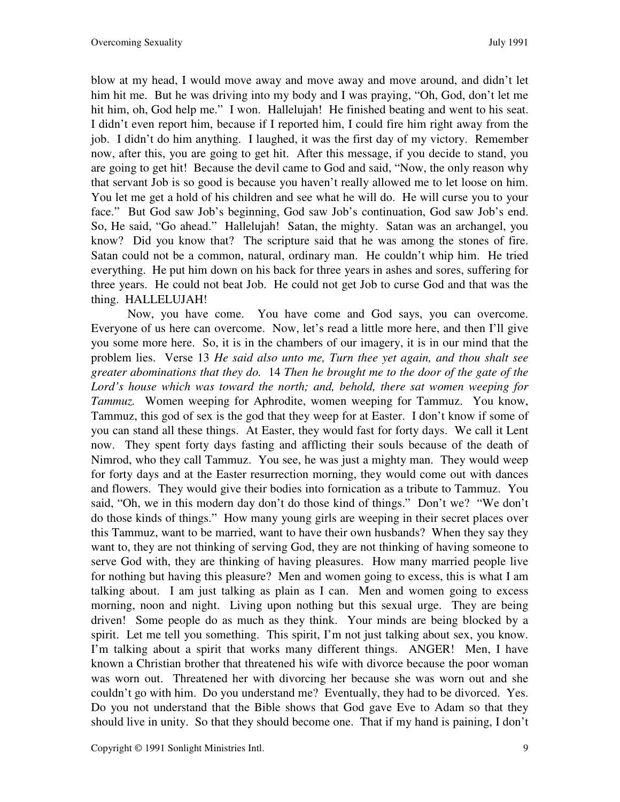blow at my head, I would move away and move away and move around, and didn't let him hit me. But he was driving into my body and I was praying, "Oh, God, don't let me hit him, oh, God help me." I won. Hallelujah! He finished beating and went to his seat. I didn't even report him, because if I reported him, I could fire him right away from the job. I didn't do him anything. I laughed, it was the first day of my victory. Remember now, after this, you are going to get hit. After this message, if you decide to stand, you are going to get hit! Because the devil came to God and said, "Now, the only reason why that servant Job is so good is because you haven't really allowed me to let loose on him. You let me get a hold of his children and see what he will do. He will curse you to your face." But God saw Job's beginning, God saw Job's continuation, God saw Job's end. So, He said, "Go ahead." Hallelujah! Satan, the mighty. Satan was an archangel, you know? Did you know that? The scripture said that he was among the stones of fire. Satan could not be a common, natural, ordinary man. He couldn't whip him. He tried everything. He put him down on his back for three years in ashes and sores, suffering for three years. He could not beat Job. He could not get Job to curse God and that was the thing. HALLELUJAH!

 Now, you have come. You have come and God says, you can overcome. Everyone of us here can overcome. Now, let's read a little more here, and then I'll give you some more here. So, it is in the chambers of our imagery, it is in our mind that the problem lies. Verse 13 *He said also unto me, Turn thee yet again, and thou shalt see greater abominations that they do.* 14 *Then he brought me to the door of the gate of the Lord's house which was toward the north; and, behold, there sat women weeping for Tammuz.* Women weeping for Aphrodite, women weeping for Tammuz. You know, Tammuz, this god of sex is the god that they weep for at Easter. I don't know if some of you can stand all these things. At Easter, they would fast for forty days. We call it Lent now. They spent forty days fasting and afflicting their souls because of the death of Nimrod, who they call Tammuz. You see, he was just a mighty man. They would weep for forty days and at the Easter resurrection morning, they would come out with dances and flowers. They would give their bodies into fornication as a tribute to Tammuz. You said, "Oh, we in this modern day don't do those kind of things." Don't we? "We don't do those kinds of things." How many young girls are weeping in their secret places over this Tammuz, want to be married, want to have their own husbands? When they say they want to, they are not thinking of serving God, they are not thinking of having someone to serve God with, they are thinking of having pleasures. How many married people live for nothing but having this pleasure? Men and women going to excess, this is what I am talking about. I am just talking as plain as I can. Men and women going to excess morning, noon and night. Living upon nothing but this sexual urge. They are being driven! Some people do as much as they think. Your minds are being blocked by a spirit. Let me tell you something. This spirit, I'm not just talking about sex, you know. I'm talking about a spirit that works many different things. ANGER! Men, I have known a Christian brother that threatened his wife with divorce because the poor woman was worn out. Threatened her with divorcing her because she was worn out and she couldn't go with him. Do you understand me? Eventually, they had to be divorced. Yes. Do you not understand that the Bible shows that God gave Eve to Adam so that they should live in unity. So that they should become one. That if my hand is paining, I don't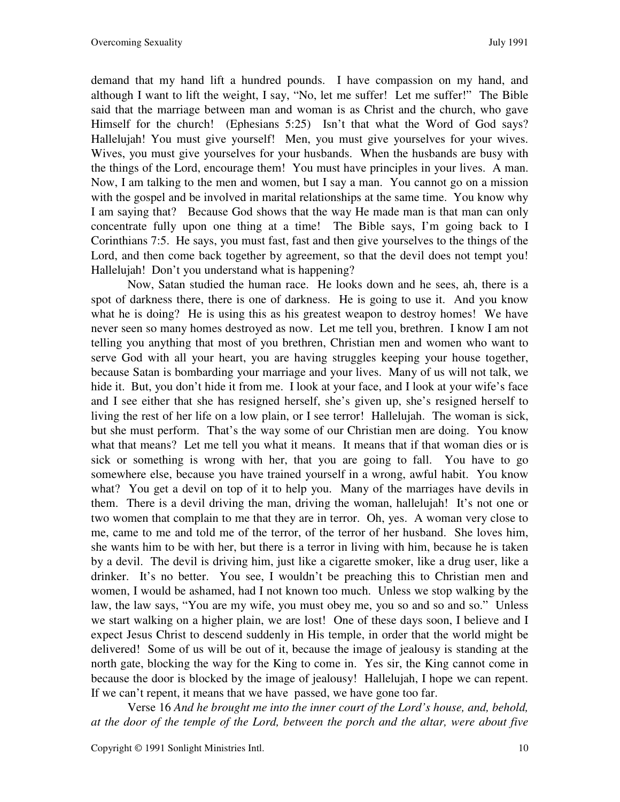demand that my hand lift a hundred pounds. I have compassion on my hand, and although I want to lift the weight, I say, "No, let me suffer! Let me suffer!" The Bible said that the marriage between man and woman is as Christ and the church, who gave Himself for the church! (Ephesians 5:25) Isn't that what the Word of God says? Hallelujah! You must give yourself! Men, you must give yourselves for your wives. Wives, you must give yourselves for your husbands. When the husbands are busy with the things of the Lord, encourage them! You must have principles in your lives. A man. Now, I am talking to the men and women, but I say a man. You cannot go on a mission with the gospel and be involved in marital relationships at the same time. You know why I am saying that? Because God shows that the way He made man is that man can only concentrate fully upon one thing at a time! The Bible says, I'm going back to I Corinthians 7:5. He says, you must fast, fast and then give yourselves to the things of the Lord, and then come back together by agreement, so that the devil does not tempt you! Hallelujah! Don't you understand what is happening?

 Now, Satan studied the human race. He looks down and he sees, ah, there is a spot of darkness there, there is one of darkness. He is going to use it. And you know what he is doing? He is using this as his greatest weapon to destroy homes! We have never seen so many homes destroyed as now. Let me tell you, brethren. I know I am not telling you anything that most of you brethren, Christian men and women who want to serve God with all your heart, you are having struggles keeping your house together, because Satan is bombarding your marriage and your lives. Many of us will not talk, we hide it. But, you don't hide it from me. I look at your face, and I look at your wife's face and I see either that she has resigned herself, she's given up, she's resigned herself to living the rest of her life on a low plain, or I see terror! Hallelujah. The woman is sick, but she must perform. That's the way some of our Christian men are doing. You know what that means? Let me tell you what it means. It means that if that woman dies or is sick or something is wrong with her, that you are going to fall. You have to go somewhere else, because you have trained yourself in a wrong, awful habit. You know what? You get a devil on top of it to help you. Many of the marriages have devils in them. There is a devil driving the man, driving the woman, hallelujah! It's not one or two women that complain to me that they are in terror. Oh, yes. A woman very close to me, came to me and told me of the terror, of the terror of her husband. She loves him, she wants him to be with her, but there is a terror in living with him, because he is taken by a devil. The devil is driving him, just like a cigarette smoker, like a drug user, like a drinker. It's no better. You see, I wouldn't be preaching this to Christian men and women, I would be ashamed, had I not known too much. Unless we stop walking by the law, the law says, "You are my wife, you must obey me, you so and so and so." Unless we start walking on a higher plain, we are lost! One of these days soon, I believe and I expect Jesus Christ to descend suddenly in His temple, in order that the world might be delivered! Some of us will be out of it, because the image of jealousy is standing at the north gate, blocking the way for the King to come in. Yes sir, the King cannot come in because the door is blocked by the image of jealousy! Hallelujah, I hope we can repent. If we can't repent, it means that we have passed, we have gone too far.

 Verse 16 *And he brought me into the inner court of the Lord's house, and, behold, at the door of the temple of the Lord, between the porch and the altar, were about five*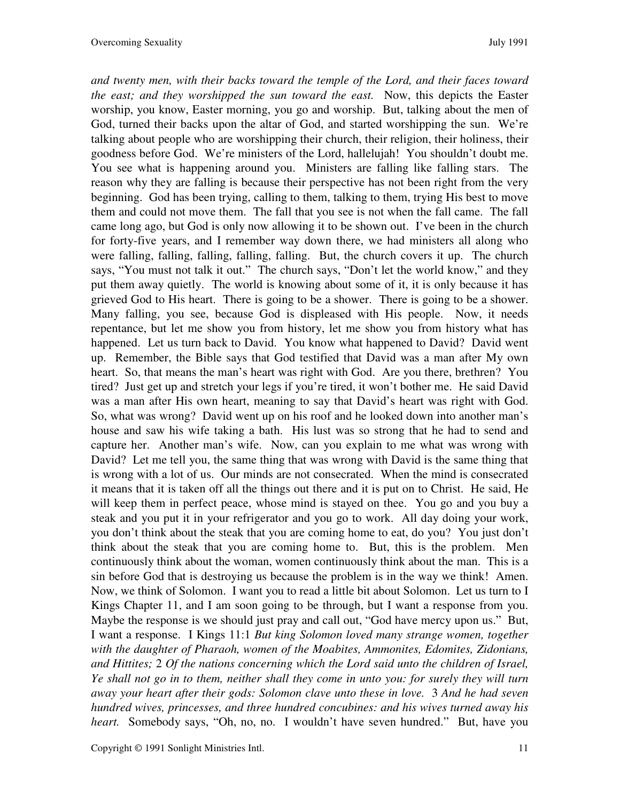*and twenty men, with their backs toward the temple of the Lord, and their faces toward the east; and they worshipped the sun toward the east.* Now, this depicts the Easter worship, you know, Easter morning, you go and worship. But, talking about the men of God, turned their backs upon the altar of God, and started worshipping the sun. We're talking about people who are worshipping their church, their religion, their holiness, their goodness before God. We're ministers of the Lord, hallelujah! You shouldn't doubt me. You see what is happening around you. Ministers are falling like falling stars. The reason why they are falling is because their perspective has not been right from the very beginning. God has been trying, calling to them, talking to them, trying His best to move them and could not move them. The fall that you see is not when the fall came. The fall came long ago, but God is only now allowing it to be shown out. I've been in the church for forty-five years, and I remember way down there, we had ministers all along who were falling, falling, falling, falling, falling. But, the church covers it up. The church says, "You must not talk it out." The church says, "Don't let the world know," and they put them away quietly. The world is knowing about some of it, it is only because it has grieved God to His heart. There is going to be a shower. There is going to be a shower. Many falling, you see, because God is displeased with His people. Now, it needs repentance, but let me show you from history, let me show you from history what has happened. Let us turn back to David. You know what happened to David? David went up. Remember, the Bible says that God testified that David was a man after My own heart. So, that means the man's heart was right with God. Are you there, brethren? You tired? Just get up and stretch your legs if you're tired, it won't bother me. He said David was a man after His own heart, meaning to say that David's heart was right with God. So, what was wrong? David went up on his roof and he looked down into another man's house and saw his wife taking a bath. His lust was so strong that he had to send and capture her. Another man's wife. Now, can you explain to me what was wrong with David? Let me tell you, the same thing that was wrong with David is the same thing that is wrong with a lot of us. Our minds are not consecrated. When the mind is consecrated it means that it is taken off all the things out there and it is put on to Christ. He said, He will keep them in perfect peace, whose mind is stayed on thee. You go and you buy a steak and you put it in your refrigerator and you go to work. All day doing your work, you don't think about the steak that you are coming home to eat, do you? You just don't think about the steak that you are coming home to. But, this is the problem. Men continuously think about the woman, women continuously think about the man. This is a sin before God that is destroying us because the problem is in the way we think! Amen. Now, we think of Solomon. I want you to read a little bit about Solomon. Let us turn to I Kings Chapter 11, and I am soon going to be through, but I want a response from you. Maybe the response is we should just pray and call out, "God have mercy upon us." But, I want a response. I Kings 11:1 *But king Solomon loved many strange women, together with the daughter of Pharaoh, women of the Moabites, Ammonites, Edomites, Zidonians, and Hittites;* 2 *Of the nations concerning which the Lord said unto the children of Israel, Ye shall not go in to them, neither shall they come in unto you: for surely they will turn away your heart after their gods: Solomon clave unto these in love.* 3 *And he had seven hundred wives, princesses, and three hundred concubines: and his wives turned away his heart.* Somebody says, "Oh, no, no. I wouldn't have seven hundred." But, have you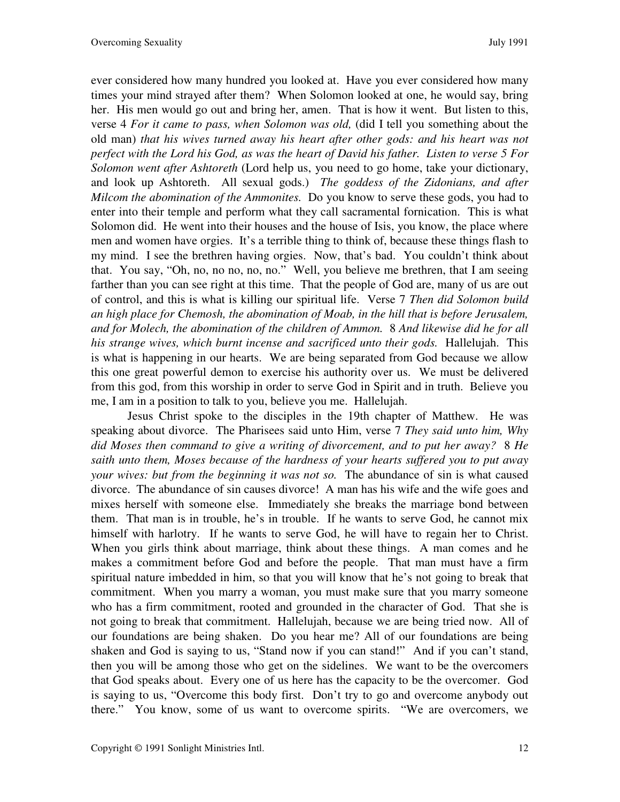ever considered how many hundred you looked at. Have you ever considered how many times your mind strayed after them? When Solomon looked at one, he would say, bring her. His men would go out and bring her, amen. That is how it went. But listen to this, verse 4 *For it came to pass, when Solomon was old,* (did I tell you something about the old man) *that his wives turned away his heart after other gods: and his heart was not perfect with the Lord his God, as was the heart of David his father. Listen to verse 5 For Solomon went after Ashtoreth* (Lord help us, you need to go home, take your dictionary, and look up Ashtoreth. All sexual gods.) *The goddess of the Zidonians, and after Milcom the abomination of the Ammonites.* Do you know to serve these gods, you had to enter into their temple and perform what they call sacramental fornication. This is what Solomon did. He went into their houses and the house of Isis, you know, the place where men and women have orgies. It's a terrible thing to think of, because these things flash to my mind. I see the brethren having orgies. Now, that's bad. You couldn't think about that. You say, "Oh, no, no no, no, no." Well, you believe me brethren, that I am seeing farther than you can see right at this time. That the people of God are, many of us are out of control, and this is what is killing our spiritual life. Verse 7 *Then did Solomon build an high place for Chemosh, the abomination of Moab, in the hill that is before Jerusalem, and for Molech, the abomination of the children of Ammon.* 8 *And likewise did he for all his strange wives, which burnt incense and sacrificed unto their gods.* Hallelujah. This is what is happening in our hearts. We are being separated from God because we allow this one great powerful demon to exercise his authority over us. We must be delivered from this god, from this worship in order to serve God in Spirit and in truth. Believe you me, I am in a position to talk to you, believe you me. Hallelujah.

 Jesus Christ spoke to the disciples in the 19th chapter of Matthew. He was speaking about divorce. The Pharisees said unto Him, verse 7 *They said unto him, Why did Moses then command to give a writing of divorcement, and to put her away?* 8 *He saith unto them, Moses because of the hardness of your hearts suffered you to put away your wives: but from the beginning it was not so.* The abundance of sin is what caused divorce. The abundance of sin causes divorce! A man has his wife and the wife goes and mixes herself with someone else. Immediately she breaks the marriage bond between them. That man is in trouble, he's in trouble. If he wants to serve God, he cannot mix himself with harlotry. If he wants to serve God, he will have to regain her to Christ. When you girls think about marriage, think about these things. A man comes and he makes a commitment before God and before the people. That man must have a firm spiritual nature imbedded in him, so that you will know that he's not going to break that commitment. When you marry a woman, you must make sure that you marry someone who has a firm commitment, rooted and grounded in the character of God. That she is not going to break that commitment. Hallelujah, because we are being tried now. All of our foundations are being shaken. Do you hear me? All of our foundations are being shaken and God is saying to us, "Stand now if you can stand!" And if you can't stand, then you will be among those who get on the sidelines. We want to be the overcomers that God speaks about. Every one of us here has the capacity to be the overcomer. God is saying to us, "Overcome this body first. Don't try to go and overcome anybody out there." You know, some of us want to overcome spirits. "We are overcomers, we